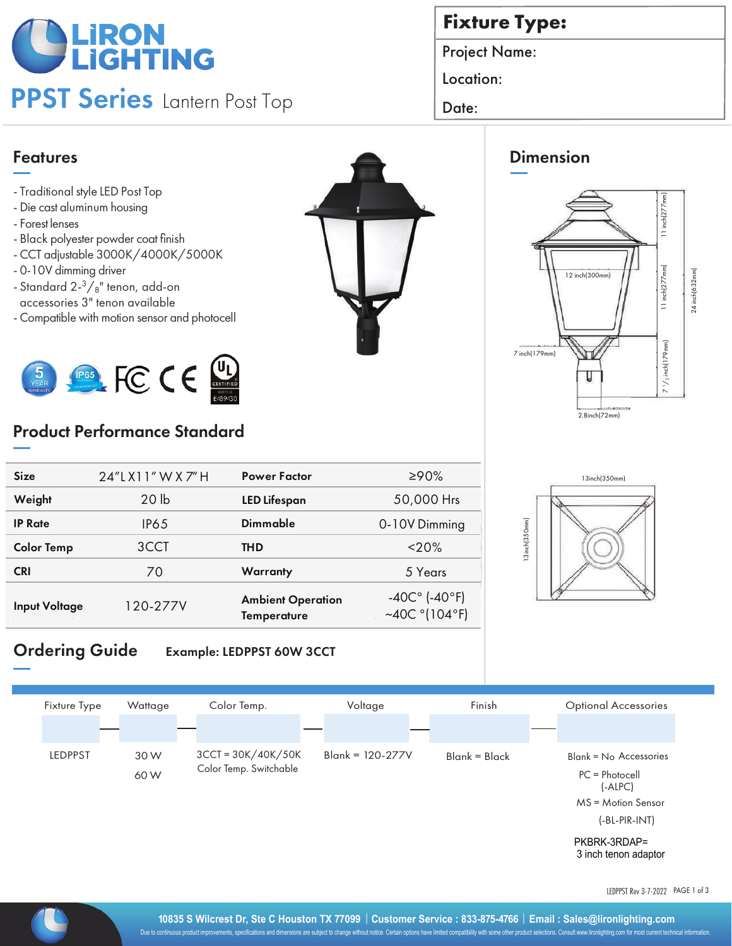# **OLIRON**<br>PLIGHTING

## PPST Series Lantern Post Top | Date:

### **Fixture Type:**

Project Name:

Location:

#### Features

- Traditional style LED Post Top
- Die cast aluminum housing
- Forest lenses
- Black polyester powder coat finish
- CCT adjustable 3000K/4000K/5000K
- 0-10V dimming driver
- Standard  $2-3/8$ " tenon, add-on accessories 3" tenon available
- Compatible with motion sensor and photocell



#### Product Performance Standard

| <b>Size</b>          | 24"LX11" W X 7" H | <b>Power Factor</b>                     | ≥90%                                                         |  |
|----------------------|-------------------|-----------------------------------------|--------------------------------------------------------------|--|
| Weight               | 20 <sub>1b</sub>  | <b>LED Lifespan</b>                     | 50,000 Hrs                                                   |  |
| <b>IP Rate</b>       | <b>IP65</b>       | Dimmable                                | 0-10V Dimming                                                |  |
| <b>Color Temp</b>    | 3CCT              | <b>THD</b>                              | $<$ 20%                                                      |  |
| <b>CRI</b>           | 70                | Warranty                                | 5 Years                                                      |  |
| <b>Input Voltage</b> | 120-277V          | <b>Ambient Operation</b><br>Temperature | $-40C^{\circ}$ (-40°F)<br>~40C $^{\circ}$ (104 $^{\circ}$ F) |  |

#### Ordering Guide Example: LEDPPST 60W 3CCT



LEDPPST Rev 3-7-2022 PAGE 1 of 3







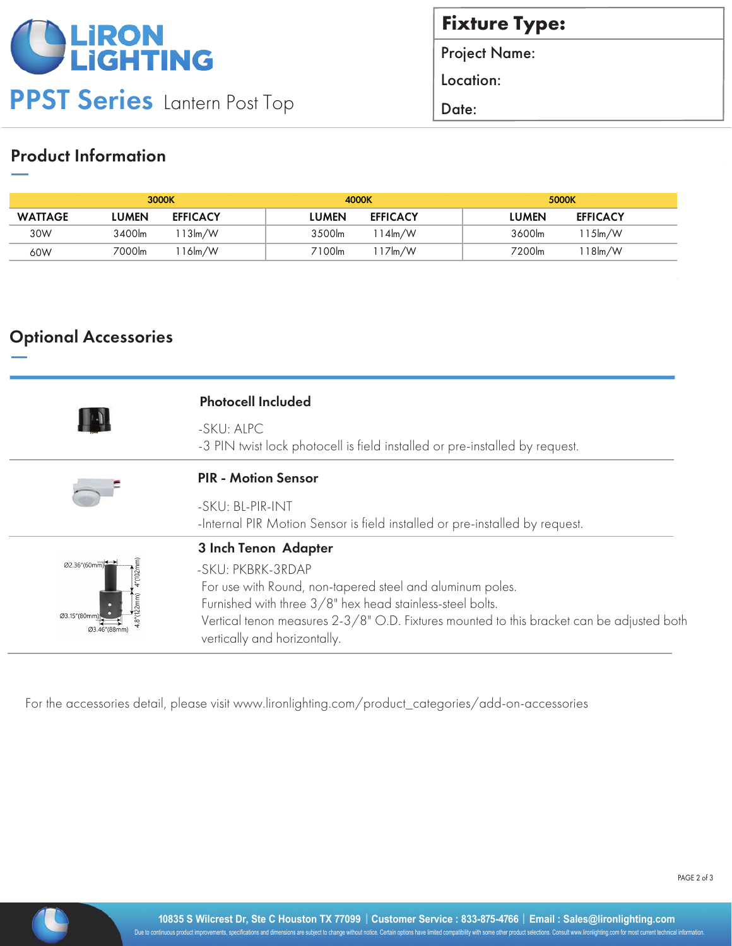

**Fixture Type:** 

Project Name:

Location:

#### Product Information

|                |               | 3000K               | 4000K  |                         |        | 5000K               |  |
|----------------|---------------|---------------------|--------|-------------------------|--------|---------------------|--|
| <b>WATTAGE</b> | L <b>UMEN</b> | <b>EFFICACY</b>     | LUMEN  | <b>EFFICACY</b>         | LUMEN  | <b>EFFICACY</b>     |  |
| 30W            | 3400lm        | $13 \text{Im}/W$    | 3500lm | $14 \text{Im}/\text{W}$ | 3600lm | 15 <sub>lm</sub> /W |  |
| 60W            | 7000lm        | 16 <sub>Im</sub> /W | 7100lm | l 17ŀm/W                | 7200lm | 18lm/W              |  |

#### Optional Accessories

|                                                                         | <b>Photocell Included</b>                                                                                                                                                                                                                                                                        |  |  |  |
|-------------------------------------------------------------------------|--------------------------------------------------------------------------------------------------------------------------------------------------------------------------------------------------------------------------------------------------------------------------------------------------|--|--|--|
|                                                                         | -SKU: ALPC<br>-3 PIN twist lock photocell is field installed or pre-installed by request.                                                                                                                                                                                                        |  |  |  |
|                                                                         | <b>PIR - Motion Sensor</b>                                                                                                                                                                                                                                                                       |  |  |  |
|                                                                         | -SKU: BL-PIR-INT<br>-Internal PIR Motion Sensor is field installed or pre-installed by request.                                                                                                                                                                                                  |  |  |  |
| Ø2.36"(60mm)<br>$4^{v}$ (102m<br>$8^{\circ}$ (122 $mm$ )<br>Ø3.15"(80mr | 3 Inch Tenon Adapter<br>-SKU: PKBRK-3RDAP<br>For use with Round, non-tapered steel and aluminum poles.<br>Furnished with three 3/8" hex head stainless-steel bolts.<br>Vertical tenon measures 2-3/8" O.D. Fixtures mounted to this bracket can be adjusted both<br>vertically and horizontally. |  |  |  |

For the accessories detail, please visit www.lironlighting.com/product\_categories/add-on-accessories